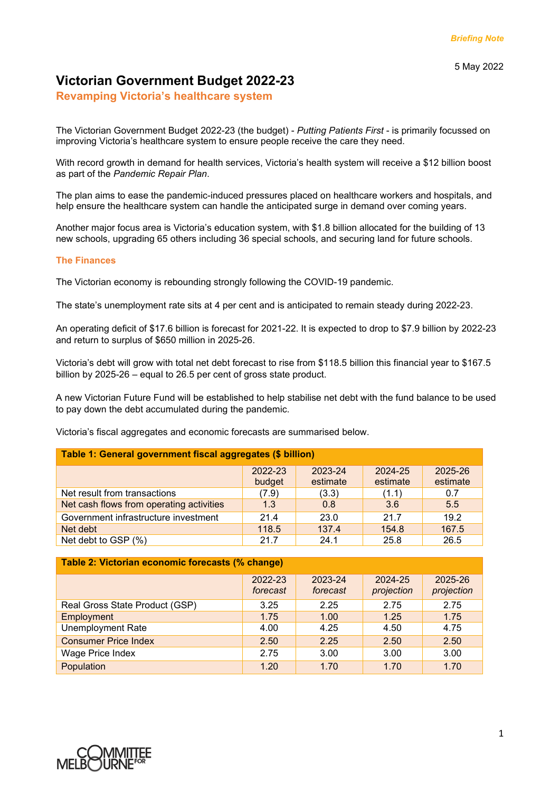# **Victorian Government Budget 2022-23**

**Revamping Victoria's healthcare system** 

The Victorian Government Budget 2022-23 (the budget) - *Putting Patients First* - is primarily focussed on improving Victoria's healthcare system to ensure people receive the care they need.

With record growth in demand for health services, Victoria's health system will receive a \$12 billion boost as part of the *Pandemic Repair Plan*.

The plan aims to ease the pandemic-induced pressures placed on healthcare workers and hospitals, and help ensure the healthcare system can handle the anticipated surge in demand over coming years.

Another major focus area is Victoria's education system, with \$1.8 billion allocated for the building of 13 new schools, upgrading 65 others including 36 special schools, and securing land for future schools.

## **The Finances**

The Victorian economy is rebounding strongly following the COVID-19 pandemic.

The state's unemployment rate sits at 4 per cent and is anticipated to remain steady during 2022-23.

An operating deficit of \$17.6 billion is forecast for 2021-22. It is expected to drop to \$7.9 billion by 2022-23 and return to surplus of \$650 million in 2025-26.

Victoria's debt will grow with total net debt forecast to rise from \$118.5 billion this financial year to \$167.5 billion by 2025-26 – equal to 26.5 per cent of gross state product.

A new Victorian Future Fund will be established to help stabilise net debt with the fund balance to be used to pay down the debt accumulated during the pandemic.

Victoria's fiscal aggregates and economic forecasts are summarised below.

| Table 1: General government fiscal aggregates (\$ billion) |                   |                     |                     |                     |  |  |
|------------------------------------------------------------|-------------------|---------------------|---------------------|---------------------|--|--|
|                                                            | 2022-23<br>budget | 2023-24<br>estimate | 2024-25<br>estimate | 2025-26<br>estimate |  |  |
| Net result from transactions                               | (7.9)             | (3.3)               | (1.1)               | 0.7                 |  |  |
| Net cash flows from operating activities                   | 1.3               | 0.8                 | 3.6                 | 5.5                 |  |  |
| Government infrastructure investment                       | 21.4              | 23.0                | 21.7                | 19.2                |  |  |
| Net debt                                                   | 118.5             | 137.4               | 154.8               | 167.5               |  |  |
| Net debt to GSP (%)                                        | 21.7              | 24.1                | 25.8                | 26.5                |  |  |

| Table 2: Victorian economic forecasts (% change) |                     |                     |                       |                       |  |  |
|--------------------------------------------------|---------------------|---------------------|-----------------------|-----------------------|--|--|
|                                                  | 2022-23<br>forecast | 2023-24<br>forecast | 2024-25<br>projection | 2025-26<br>projection |  |  |
| Real Gross State Product (GSP)                   | 3.25                | 2.25                | 2.75                  | 2.75                  |  |  |
| Employment                                       | 1.75                | 1.00                | 1.25                  | 1.75                  |  |  |
| <b>Unemployment Rate</b>                         | 4.00                | 4.25                | 4.50                  | 4.75                  |  |  |
| <b>Consumer Price Index</b>                      | 2.50                | 2.25                | 2.50                  | 2.50                  |  |  |
| Wage Price Index                                 | 2.75                | 3.00                | 3.00                  | 3.00                  |  |  |
| Population                                       | 1.20                | 1.70                | 1.70                  | 1.70                  |  |  |

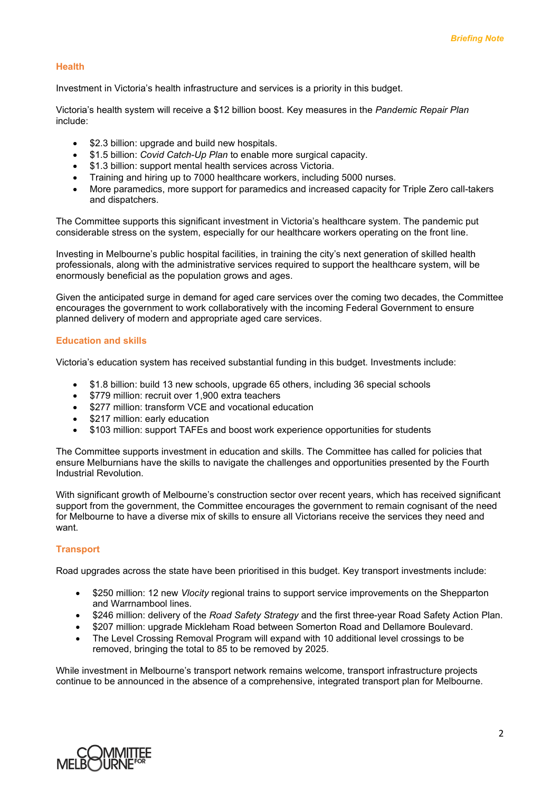#### **Health**

Investment in Victoria's health infrastructure and services is a priority in this budget.

Victoria's health system will receive a \$12 billion boost. Key measures in the *Pandemic Repair Plan* include:

- \$2.3 billion: upgrade and build new hospitals.
- \$1.5 billion: *Covid Catch-Up Plan* to enable more surgical capacity.
- \$1.3 billion: support mental health services across Victoria.
- Training and hiring up to 7000 healthcare workers, including 5000 nurses.
- More paramedics, more support for paramedics and increased capacity for Triple Zero call-takers and dispatchers.

The Committee supports this significant investment in Victoria's healthcare system. The pandemic put considerable stress on the system, especially for our healthcare workers operating on the front line.

Investing in Melbourne's public hospital facilities, in training the city's next generation of skilled health professionals, along with the administrative services required to support the healthcare system, will be enormously beneficial as the population grows and ages.

Given the anticipated surge in demand for aged care services over the coming two decades, the Committee encourages the government to work collaboratively with the incoming Federal Government to ensure planned delivery of modern and appropriate aged care services.

#### **Education and skills**

Victoria's education system has received substantial funding in this budget. Investments include:

- \$1.8 billion: build 13 new schools, upgrade 65 others, including 36 special schools
- \$779 million: recruit over 1,900 extra teachers
- \$277 million: transform VCE and vocational education
- \$217 million: early education
- \$103 million: support TAFEs and boost work experience opportunities for students

The Committee supports investment in education and skills. The Committee has called for policies that ensure Melburnians have the skills to navigate the challenges and opportunities presented by the Fourth Industrial Revolution.

With significant growth of Melbourne's construction sector over recent years, which has received significant support from the government, the Committee encourages the government to remain cognisant of the need for Melbourne to have a diverse mix of skills to ensure all Victorians receive the services they need and want.

#### **Transport**

Road upgrades across the state have been prioritised in this budget. Key transport investments include:

- \$250 million: 12 new *Vlocity* regional trains to support service improvements on the Shepparton and Warrnambool lines.
- \$246 million: delivery of the *Road Safety Strategy* and the first three-year Road Safety Action Plan.
- \$207 million: upgrade Mickleham Road between Somerton Road and Dellamore Boulevard.
- The Level Crossing Removal Program will expand with 10 additional level crossings to be removed, bringing the total to 85 to be removed by 2025.

While investment in Melbourne's transport network remains welcome, transport infrastructure projects continue to be announced in the absence of a comprehensive, integrated transport plan for Melbourne.

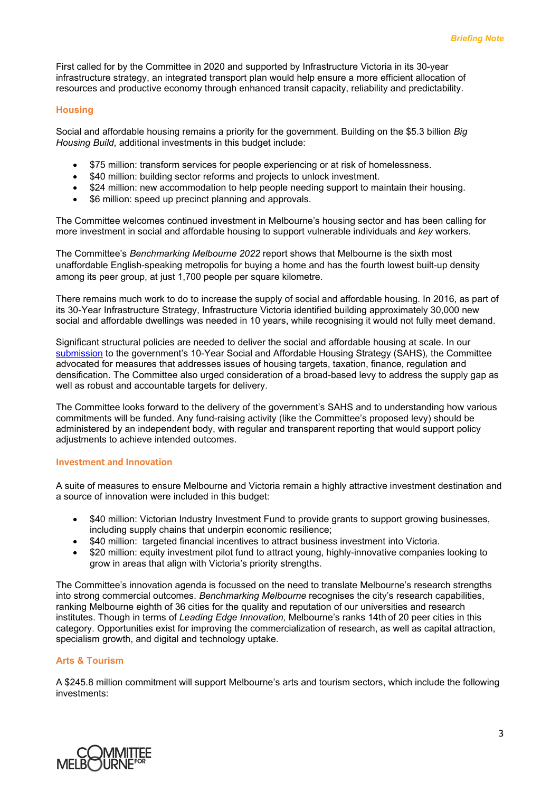First called for by the Committee in 2020 and supported by Infrastructure Victoria in its 30-year infrastructure strategy, an integrated transport plan would help ensure a more efficient allocation of resources and productive economy through enhanced transit capacity, reliability and predictability.

#### **Housing**

Social and affordable housing remains a priority for the government. Building on the \$5.3 billion *Big Housing Build*, additional investments in this budget include:

- \$75 million: transform services for people experiencing or at risk of homelessness.
- \$40 million: building sector reforms and projects to unlock investment.
- \$24 million: new accommodation to help people needing support to maintain their housing.
- \$6 million: speed up precinct planning and approvals.

The Committee welcomes continued investment in Melbourne's housing sector and has been calling for more investment in social and affordable housing to support vulnerable individuals and *key* workers.

The Committee's *Benchmarking Melbourne 2022* report shows that Melbourne is the sixth most unaffordable English-speaking metropolis for buying a home and has the fourth lowest built-up density among its peer group, at just 1,700 people per square kilometre.

There remains much work to do to increase the supply of social and affordable housing. In 2016, as part of its 30-Year Infrastructure Strategy, Infrastructure Victoria identified building approximately 30,000 new social and affordable dwellings was needed in 10 years, while recognising it would not fully meet demand.

Significant structural policies are needed to deliver the social and affordable housing at scale. In our [submission](https://melbourne.org.au/wp-content/uploads/2021/04/Delivering-Affordable-Housing-Apr-2021-Final.pdf) to the government's 10-Year Social and Affordable Housing Strategy (SAHS)*,* the Committee advocated for measures that addresses issues of housing targets, taxation, finance, regulation and densification. The Committee also urged consideration of a broad-based levy to address the supply gap as well as robust and accountable targets for delivery.

The Committee looks forward to the delivery of the government's SAHS and to understanding how various commitments will be funded. Any fund-raising activity (like the Committee's proposed levy) should be administered by an independent body, with regular and transparent reporting that would support policy adjustments to achieve intended outcomes.

#### **Investment and Innovation**

A suite of measures to ensure Melbourne and Victoria remain a highly attractive investment destination and a source of innovation were included in this budget:

- \$40 million: Victorian Industry Investment Fund to provide grants to support growing businesses, including supply chains that underpin economic resilience;
- \$40 million: targeted financial incentives to attract business investment into Victoria.
- \$20 million: equity investment pilot fund to attract young, highly-innovative companies looking to grow in areas that align with Victoria's priority strengths.

The Committee's innovation agenda is focussed on the need to translate Melbourne's research strengths into strong commercial outcomes. *Benchmarking Melbourne* recognises the city's research capabilities, ranking Melbourne eighth of 36 cities for the quality and reputation of our universities and research institutes. Though in terms of *Leading Edge Innovation,* Melbourne's ranks 14th of 20 peer cities in this category. Opportunities exist for improving the commercialization of research, as well as capital attraction, specialism growth, and digital and technology uptake.

#### **Arts & Tourism**

A \$245.8 million commitment will support Melbourne's arts and tourism sectors, which include the following investments: